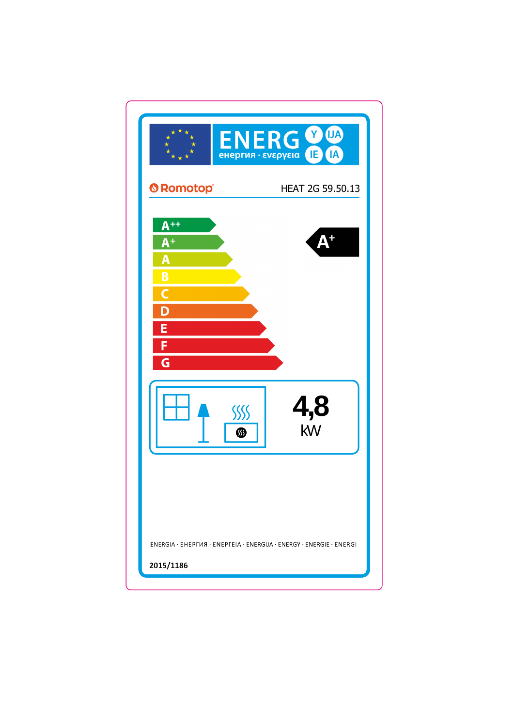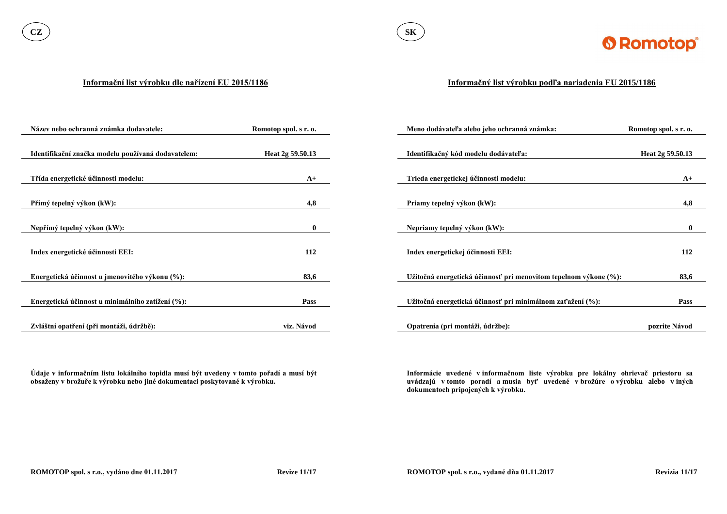

#### **Informační list výrobku dle nařízení EU 2015/1186**

**Údaje v informačním listu lokálního topidla musí být uvedeny v tomto pořadí a musí být obsaženy v brožuře k výrobku nebo jiné dokumentaci poskytované k výrobku.**

| Název nebo ochranná známka dodavatele:             | Romotop spol. s r. o. | Meno dodávateľa alebo jeho ochranná známka:                      | Romotop spol. s r. o. |
|----------------------------------------------------|-----------------------|------------------------------------------------------------------|-----------------------|
|                                                    |                       |                                                                  |                       |
| Identifikační značka modelu používaná dodavatelem: | Heat 2g 59.50.13      | Identifikačný kód modelu dodávateľa:                             | Heat 2g 59.50.13      |
|                                                    |                       |                                                                  |                       |
| Třída energetické účinnosti modelu:                | $A+$                  | Trieda energetickej účinnosti modelu:                            | $A+$                  |
|                                                    |                       |                                                                  |                       |
| Přímý tepelný výkon (kW):                          | 4,8                   | Priamy tepelný výkon (kW):                                       | 4,8                   |
|                                                    |                       |                                                                  |                       |
| Nepřímý tepelný výkon (kW):                        | $\mathbf{0}$          | Nepriamy tepelný výkon (kW):                                     | $\mathbf{0}$          |
|                                                    |                       |                                                                  |                       |
| Index energetické účinnosti EEI:                   | 112                   | Index energetickej účinnosti EEI:                                | 112                   |
|                                                    |                       |                                                                  |                       |
| Energetická účinnost u jmenovitého výkonu (%):     | 83,6                  | Užitočná energetická účinnosť pri menovitom tepelnom výkone (%): | 83,6                  |
|                                                    |                       |                                                                  |                       |
| Energetická účinnost u minimálního zatížení (%):   | <b>Pass</b>           | Užitočná energetická účinnosť pri minimálnom zaťažení (%):       | <b>Pass</b>           |
|                                                    |                       |                                                                  |                       |
| Zvláštní opatření (při montáži, údržbě):           | viz. Návod            | Opatrenia (pri montáži, údržbe):                                 | pozrite Návod         |

### **Informačný list výrobku podľa nariadenia EU 2015/1186**

**Informácie uvedené v informačnom liste výrobku pre lokálny ohrievač priestoru sa uvádzajú v tomto poradí a musia byť uvedené v brožúre o výrobku alebo v iných dokumentoch pripojených k výrobku.**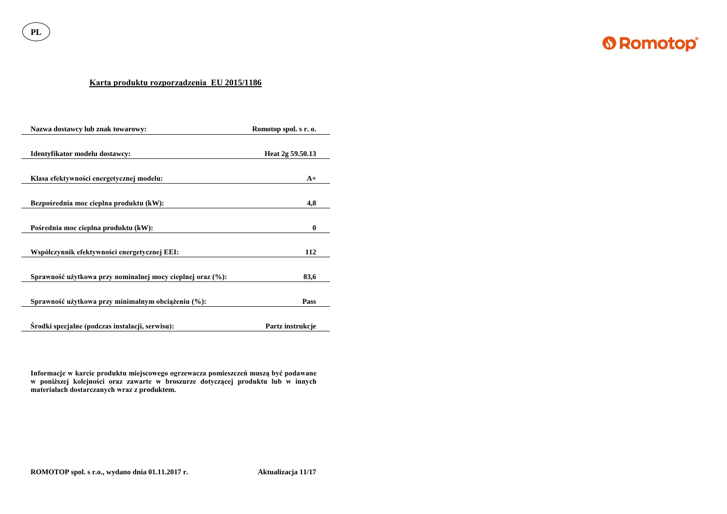**PL**



## **Karta produktu rozporządzenia EU 2015/1186**

| Nazwa dostawcy lub znak towarowy:                          | Romotop spol. s r. o. |
|------------------------------------------------------------|-----------------------|
| Identyfikator modelu dostawcy:                             | Heat 2g 59.50.13      |
| Klasa efektywności energetycznej modelu:                   | $A+$                  |
| Bezpośrednia moc cieplna produktu (kW):                    | 4,8                   |
| Pośrednia moc cieplna produktu (kW):                       | $\boldsymbol{0}$      |
| Współczynnik efektywności energetycznej EEI:               | 112                   |
| Sprawność użytkowa przy nominalnej mocy cieplnej oraz (%): | 83,6                  |
| Sprawność użytkowa przy minimalnym obciążeniu (%):         | Pass                  |
| Srodki specjalne (podczas instalacji, serwisu):            | Partz instrukcje      |

**Informacje w karcie produktu miejscowego ogrzewacza pomieszczeń muszą być podawane w poniższej kolejności oraz zawarte w broszurze dotyczącej produktu lub w innych materiałach dostarczanych wraz z produktem.**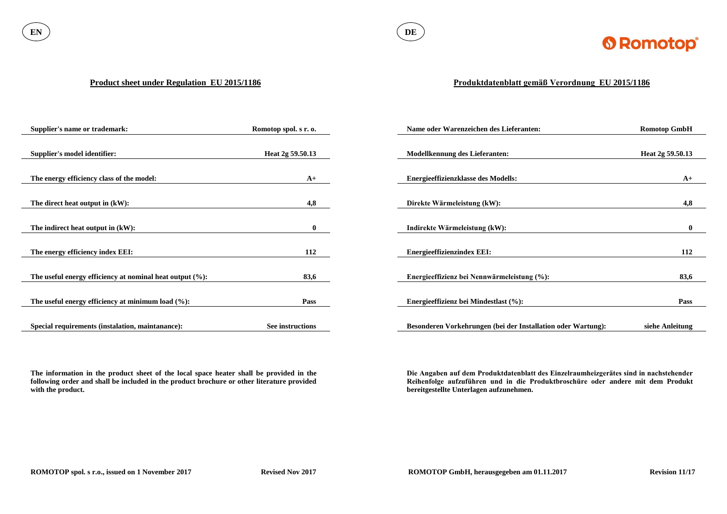

#### **Product sheet under Regulation EU 2015/1186**

**The information in the product sheet of the local space heater shall be provided in the following order and shall be included in the product brochure or other literature provided with the product.**

| <b>Supplier's name or trademark:</b>                        | Romotop spol. s r. o. | Name oder Warenzeichen des Lieferanten:                      | <b>Romotop GmbH</b> |
|-------------------------------------------------------------|-----------------------|--------------------------------------------------------------|---------------------|
|                                                             |                       |                                                              |                     |
| <b>Supplier's model identifier:</b>                         | Heat 2g 59.50.13      | <b>Modellkennung des Lieferanten:</b>                        | Heat 2g 59.50.13    |
|                                                             |                       |                                                              |                     |
| The energy efficiency class of the model:                   | $A+$                  | <b>Energieeffizienzklasse des Modells:</b>                   | $A+$                |
|                                                             |                       |                                                              |                     |
| The direct heat output in (kW):                             | 4,8                   | Direkte Wärmeleistung (kW):                                  | 4,8                 |
|                                                             |                       |                                                              |                     |
| The indirect heat output in (kW):                           | $\bf{0}$              | Indirekte Wärmeleistung (kW):                                | $\mathbf{0}$        |
|                                                             |                       |                                                              |                     |
| The energy efficiency index EEI:                            | 112                   | <b>Energieeffizienzindex EEI:</b>                            | 112                 |
|                                                             |                       |                                                              |                     |
| The useful energy efficiency at nominal heat output $(\%):$ | 83,6                  | Energieeffizienz bei Nennwärmeleistung (%):                  | 83,6                |
|                                                             |                       |                                                              |                     |
| The useful energy efficiency at minimum load $(\%):$        | <b>Pass</b>           | Energieeffizienz bei Mindestlast (%):                        | <b>Pass</b>         |
|                                                             |                       |                                                              |                     |
| Special requirements (instalation, maintanance):            | See instructions      | Besonderen Vorkehrungen (bei der Installation oder Wartung): | siehe Anleitung     |

# **Produktdatenblatt gemäß Verordnung EU 2015/1186**

**Die Angaben auf dem Produktdatenblatt des Einzelraumheizgerätes sind in nachstehender Reihenfolge aufzuführen und in die Produktbroschüre oder andere mit dem Produkt bereitgestellte Unterlagen aufzunehmen.**